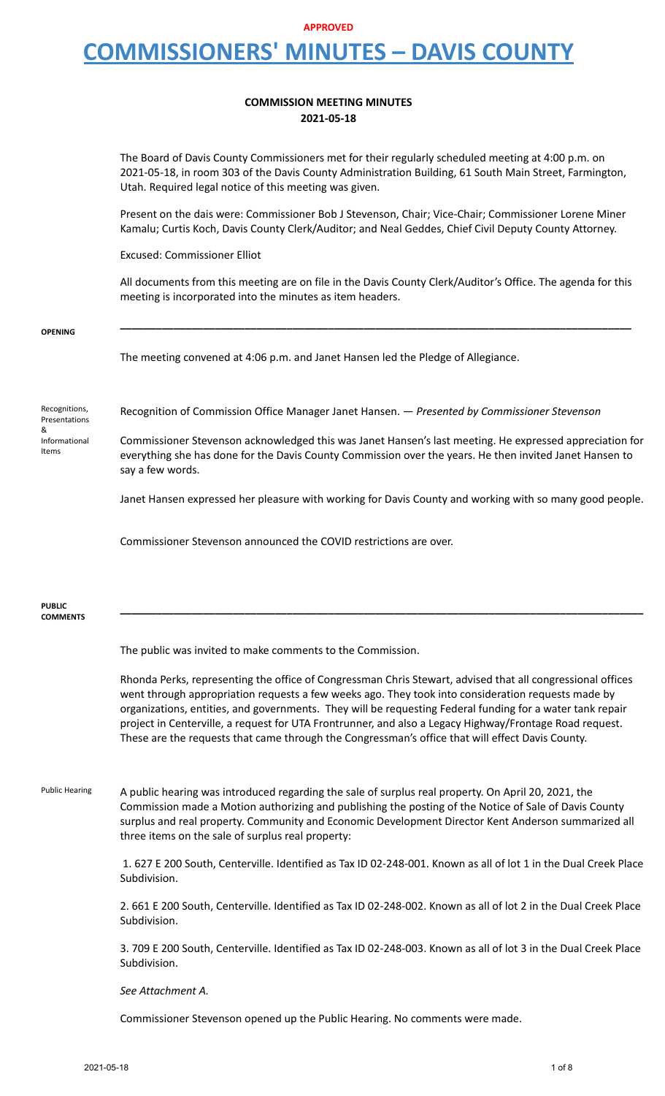### **COMMISSION MEETING MINUTES 2021-05-18**

The Board of Davis County Commissioners met for their regularly scheduled meeting at 4:00 p.m. on 2021-05-18, in room 303 of the Davis County Administration Building, 61 South Main Street, Farmington, Utah. Required legal notice of this meeting was given.

Present on the dais were: Commissioner Bob J Stevenson, Chair; Vice-Chair; Commissioner Lorene Miner Kamalu; Curtis Koch, Davis County Clerk/Auditor; and Neal Geddes, Chief Civil Deputy County Attorney.

Excused: Commissioner Elliot

All documents from this meeting are on file in the Davis County Clerk/Auditor's Office. The agenda for this meeting is incorporated into the minutes as item headers.

**OPENING \_\_\_\_\_\_\_\_\_\_\_\_\_\_\_\_\_\_\_\_\_\_\_\_\_\_\_\_\_\_\_\_\_\_\_\_\_\_\_\_\_\_\_\_\_\_\_\_\_\_\_\_\_\_\_\_\_\_\_\_\_\_\_\_\_\_\_\_\_\_\_\_\_\_\_\_\_\_\_\_\_\_\_\_\_\_** The meeting convened at 4:06 p.m. and Janet Hansen led the Pledge of Allegiance. Recognitions, Presentations & Informational Items Recognition of Commission Office Manager Janet Hansen. — *Presented by Commissioner Stevenson* Commissioner Stevenson acknowledged this was Janet Hansen's last meeting. He expressed appreciation for everything she has done for the Davis County Commission over the years. He then invited Janet Hansen to say a few words. Janet Hansen expressed her pleasure with working for Davis County and working with so many good people. Commissioner Stevenson announced the COVID restrictions are over. **PUBLIC COMMENTS \_\_\_\_\_\_\_\_\_\_\_\_\_\_\_\_\_\_\_\_\_\_\_\_\_\_\_\_\_\_\_\_\_\_\_\_\_\_\_\_\_\_\_\_\_\_\_\_\_\_\_\_\_\_\_\_\_\_\_\_\_\_\_\_\_\_\_\_\_\_\_\_\_\_\_\_\_\_\_\_\_\_\_\_\_\_\_\_** The public was invited to make comments to the Commission. Rhonda Perks, representing the office of Congressman Chris Stewart, advised that all congressional offices went through appropriation requests a few weeks ago. They took into consideration requests made by organizations, entities, and governments. They will be requesting Federal funding for a water tank repair project in Centerville, a request for UTA Frontrunner, and also a Legacy Highway/Frontage Road request. These are the requests that came through the Congressman's office that will effect Davis County. Public Hearing A public hearing was introduced regarding the sale of surplus real property. On April 20, 2021, the Commission made a Motion authorizing and publishing the posting of the Notice of Sale of Davis County surplus and real property. Community and Economic Development Director Kent Anderson summarized all three items on the sale of surplus real property: 1. 627 E 200 South, Centerville. Identified as Tax ID 02-248-001. Known as all of lot 1 in the Dual Creek Place Subdivision. 2. 661 E 200 South, Centerville. Identified as Tax ID 02-248-002. Known as all of lot 2 in the Dual Creek Place Subdivision. 3. 709 E 200 South, Centerville. Identified as Tax ID 02-248-003. Known as all of lot 3 in the Dual Creek Place Subdivision. *See Attachment A.*

Commissioner Stevenson opened up the Public Hearing. No comments were made.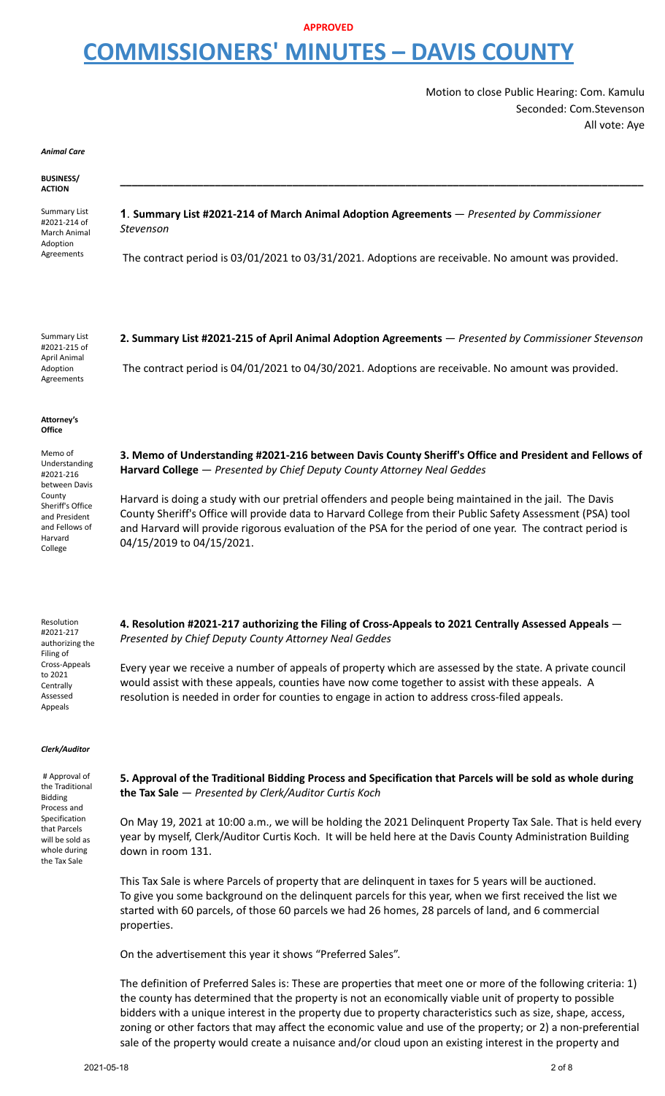Motion to close Public Hearing: Com. Kamulu Seconded: Com.Stevenson All vote: Aye

*Animal Care*

#### **BUSINESS/ ACTION**

Summary List #2021-214 of March Animal Adoption Agreements

**1**. **Summary List #2021-214 of March Animal Adoption Agreements** — *Presented by Commissioner Stevenson*

The contract period is 03/01/2021 to 03/31/2021. Adoptions are receivable. No amount was provided.

**\_\_\_\_\_\_\_\_\_\_\_\_\_\_\_\_\_\_\_\_\_\_\_\_\_\_\_\_\_\_\_\_\_\_\_\_\_\_\_\_\_\_\_\_\_\_\_\_\_\_\_\_\_\_\_\_\_\_\_\_\_\_\_\_\_\_\_\_\_\_\_\_\_\_\_\_\_\_\_\_\_\_\_\_\_\_\_\_**

Summary List #2021-215 of April Animal Adoption

**2. Summary List #2021-215 of April Animal Adoption Agreements** — *Presented by Commissioner Stevenson*

Agreements

The contract period is 04/01/2021 to 04/30/2021. Adoptions are receivable. No amount was provided.

#### **Attorney's Office**

Memo of Understanding #2021-216 between Davis County Sheriff's Office and President and Fellows of Harvard College

**3. Memo of Understanding #2021-216 between Davis County Sheriff's Office and President and Fellows of Harvard College** — *Presented by Chief Deputy County Attorney Neal Geddes*

Harvard is doing a study with our pretrial offenders and people being maintained in the jail. The Davis County Sheriff's Office will provide data to Harvard College from their Public Safety Assessment (PSA) tool and Harvard will provide rigorous evaluation of the PSA for the period of one year. The contract period is 04/15/2019 to 04/15/2021.

Resolution #2021-217 authorizing the Filing of Cross-Appeals to 2021 **Centrally** Assessed Appeals

**4. Resolution #2021-217 authorizing the Filing of Cross-Appeals to 2021 Centrally Assessed Appeals** — *Presented by Chief Deputy County Attorney Neal Geddes*

Every year we receive a number of appeals of property which are assessed by the state. A private council would assist with these appeals, counties have now come together to assist with these appeals. A resolution is needed in order for counties to engage in action to address cross-filed appeals.

#### *Clerk/Auditor*

# Approval of the Traditional Bidding Process and Specification that Parcels will be sold as whole during the Tax Sale

5. Approval of the Traditional Bidding Process and Specification that Parcels will be sold as whole during **the Tax Sale** — *Presented by Clerk/Auditor Curtis Koch*

On May 19, 2021 at 10:00 a.m., we will be holding the 2021 Delinquent Property Tax Sale. That is held every year by myself, Clerk/Auditor Curtis Koch. It will be held here at the Davis County Administration Building down in room 131.

This Tax Sale is where Parcels of property that are delinquent in taxes for 5 years will be auctioned. To give you some background on the delinquent parcels for this year, when we first received the list we started with 60 parcels, of those 60 parcels we had 26 homes, 28 parcels of land, and 6 commercial properties.

On the advertisement this year it shows "Preferred Sales".

The definition of Preferred Sales is: These are properties that meet one or more of the following criteria: 1) the county has determined that the property is not an economically viable unit of property to possible bidders with a unique interest in the property due to property characteristics such as size, shape, access, zoning or other factors that may affect the economic value and use of the property; or 2) a non-preferential sale of the property would create a nuisance and/or cloud upon an existing interest in the property and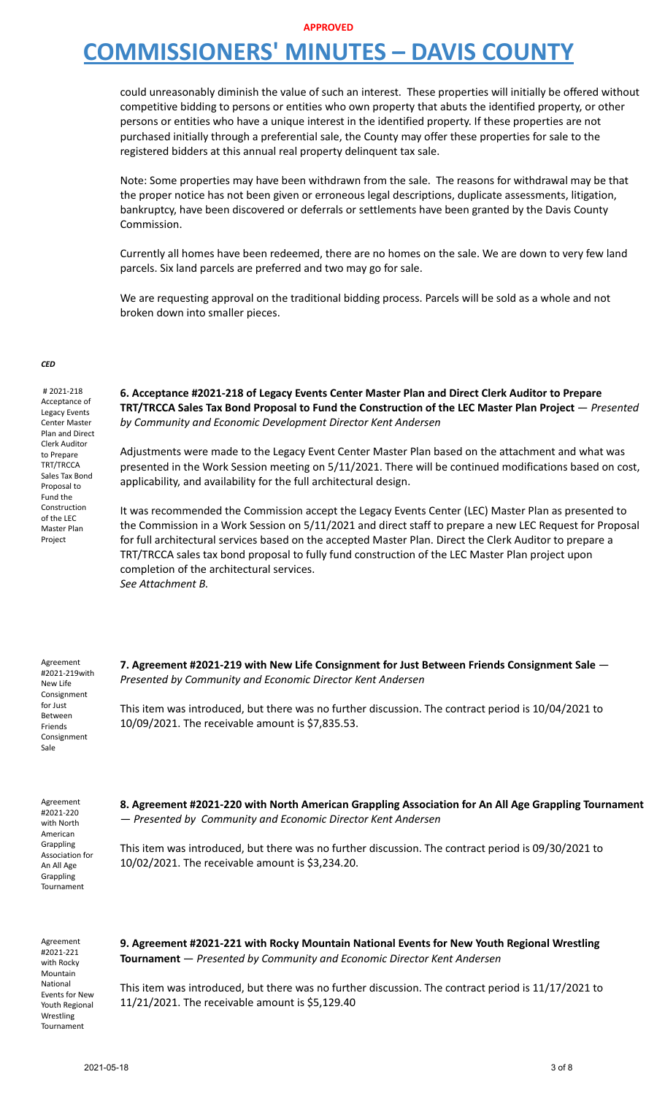### **APPROVED**

# **COMMISSIONERS' MINUTES – DAVIS COUNTY**

could unreasonably diminish the value of such an interest. These properties will initially be offered without competitive bidding to persons or entities who own property that abuts the identified property, or other persons or entities who have a unique interest in the identified property. If these properties are not purchased initially through a preferential sale, the County may offer these properties for sale to the registered bidders at this annual real property delinquent tax sale.

Note: Some properties may have been withdrawn from the sale. The reasons for withdrawal may be that the proper notice has not been given or erroneous legal descriptions, duplicate assessments, litigation, bankruptcy, have been discovered or deferrals or settlements have been granted by the Davis County Commission.

Currently all homes have been redeemed, there are no homes on the sale. We are down to very few land parcels. Six land parcels are preferred and two may go for sale.

We are requesting approval on the traditional bidding process. Parcels will be sold as a whole and not broken down into smaller pieces.

#### *CED*

# 2021-218 Acceptance of Legacy Events Center Master Plan and Direct Clerk Auditor to Prepare TRT/TRCCA Sales Tax Bond Proposal to Fund the Construction of the LEC Master Plan Project

**6. Acceptance #2021-218 of Legacy Events Center Master Plan and Direct Clerk Auditor to Prepare TRT/TRCCA Sales Tax Bond Proposal to Fund the Construction of the LEC Master Plan Project** — *Presented by Community and Economic Development Director Kent Andersen*

Adjustments were made to the Legacy Event Center Master Plan based on the attachment and what was presented in the Work Session meeting on 5/11/2021. There will be continued modifications based on cost, applicability, and availability for the full architectural design.

It was recommended the Commission accept the Legacy Events Center (LEC) Master Plan as presented to the Commission in a Work Session on 5/11/2021 and direct staff to prepare a new LEC Request for Proposal for full architectural services based on the accepted Master Plan. Direct the Clerk Auditor to prepare a TRT/TRCCA sales tax bond proposal to fully fund construction of the LEC Master Plan project upon completion of the architectural services. *See Attachment B.*

Agreement #2021-219with New Life Consignment for Just Between Friends Consignment Sale

**7. Agreement #2021-219 with New Life Consignment for Just Between Friends Consignment Sale** — *Presented by Community and Economic Director Kent Andersen*

This item was introduced, but there was no further discussion. The contract period is 10/04/2021 to 10/09/2021. The receivable amount is \$7,835.53.

Agreement #2021-220 with North American Grappling Association for An All Age Grappling Tournament

**8. Agreement #2021-220 with North American Grappling Association for An All Age Grappling Tournament** — *Presented by Community and Economic Director Kent Andersen*

This item was introduced, but there was no further discussion. The contract period is 09/30/2021 to 10/02/2021. The receivable amount is \$3,234.20.

Agreement #2021-221 with Rocky Mountain National Events for New Youth Regional Wrestling Tournament

**9. Agreement #2021-221 with Rocky Mountain National Events for New Youth Regional Wrestling Tournament** — *Presented by Community and Economic Director Kent Andersen*

This item was introduced, but there was no further discussion. The contract period is 11/17/2021 to 11/21/2021. The receivable amount is \$5,129.40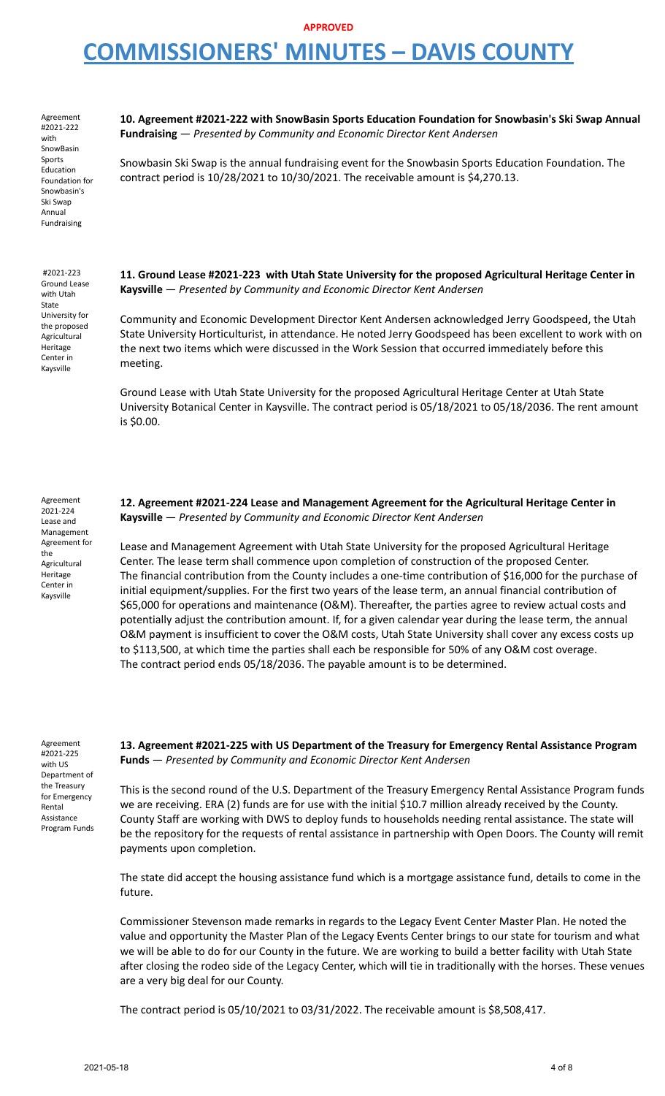### **APPROVED**

# **COMMISSIONERS' MINUTES – DAVIS COUNTY**

Agreement #2021-222 with SnowBasin Sports Education Foundation for Snowbasin's Ski Swap Annual Fundraising

#2021-223 Ground Lease with Utah State University for the proposed Agricultural Heritage Center in Kaysville

**10. Agreement #2021-222 with SnowBasin Sports Education Foundation for Snowbasin's Ski Swap Annual Fundraising** — *Presented by Community and Economic Director Kent Andersen*

Snowbasin Ski Swap is the annual fundraising event for the Snowbasin Sports Education Foundation. The contract period is 10/28/2021 to 10/30/2021. The receivable amount is \$4,270.13.

**11. Ground Lease #2021-223 with Utah State University for the proposed Agricultural Heritage Center in Kaysville** — *Presented by Community and Economic Director Kent Andersen*

Community and Economic Development Director Kent Andersen acknowledged Jerry Goodspeed, the Utah State University Horticulturist, in attendance. He noted Jerry Goodspeed has been excellent to work with on the next two items which were discussed in the Work Session that occurred immediately before this meeting.

Ground Lease with Utah State University for the proposed Agricultural Heritage Center at Utah State University Botanical Center in Kaysville. The contract period is 05/18/2021 to 05/18/2036. The rent amount is \$0.00.

Agreement 2021-224 Lease and Management Agreement for the Agricultural Heritage Center in Kaysville

**12. Agreement #2021-224 Lease and Management Agreement for the Agricultural Heritage Center in Kaysville** — *Presented by Community and Economic Director Kent Andersen*

Lease and Management Agreement with Utah State University for the proposed Agricultural Heritage Center. The lease term shall commence upon completion of construction of the proposed Center. The financial contribution from the County includes a one-time contribution of \$16,000 for the purchase of initial equipment/supplies. For the first two years of the lease term, an annual financial contribution of \$65,000 for operations and maintenance (O&M). Thereafter, the parties agree to review actual costs and potentially adjust the contribution amount. If, for a given calendar year during the lease term, the annual O&M payment is insufficient to cover the O&M costs, Utah State University shall cover any excess costs up to \$113,500, at which time the parties shall each be responsible for 50% of any O&M cost overage. The contract period ends 05/18/2036. The payable amount is to be determined.

Agreement #2021-225 with US Department of the Treasury for Emergency Rental Assistance Program Funds **13. Agreement #2021-225 with US Department of the Treasury for Emergency Rental Assistance Program Funds** — *Presented by Community and Economic Director Kent Andersen*

This is the second round of the U.S. Department of the Treasury Emergency Rental Assistance Program funds we are receiving. ERA (2) funds are for use with the initial \$10.7 million already received by the County. County Staff are working with DWS to deploy funds to households needing rental assistance. The state will be the repository for the requests of rental assistance in partnership with Open Doors. The County will remit payments upon completion.

The state did accept the housing assistance fund which is a mortgage assistance fund, details to come in the future.

Commissioner Stevenson made remarks in regards to the Legacy Event Center Master Plan. He noted the value and opportunity the Master Plan of the Legacy Events Center brings to our state for tourism and what we will be able to do for our County in the future. We are working to build a better facility with Utah State after closing the rodeo side of the Legacy Center, which will tie in traditionally with the horses. These venues are a very big deal for our County.

The contract period is 05/10/2021 to 03/31/2022. The receivable amount is \$8,508,417.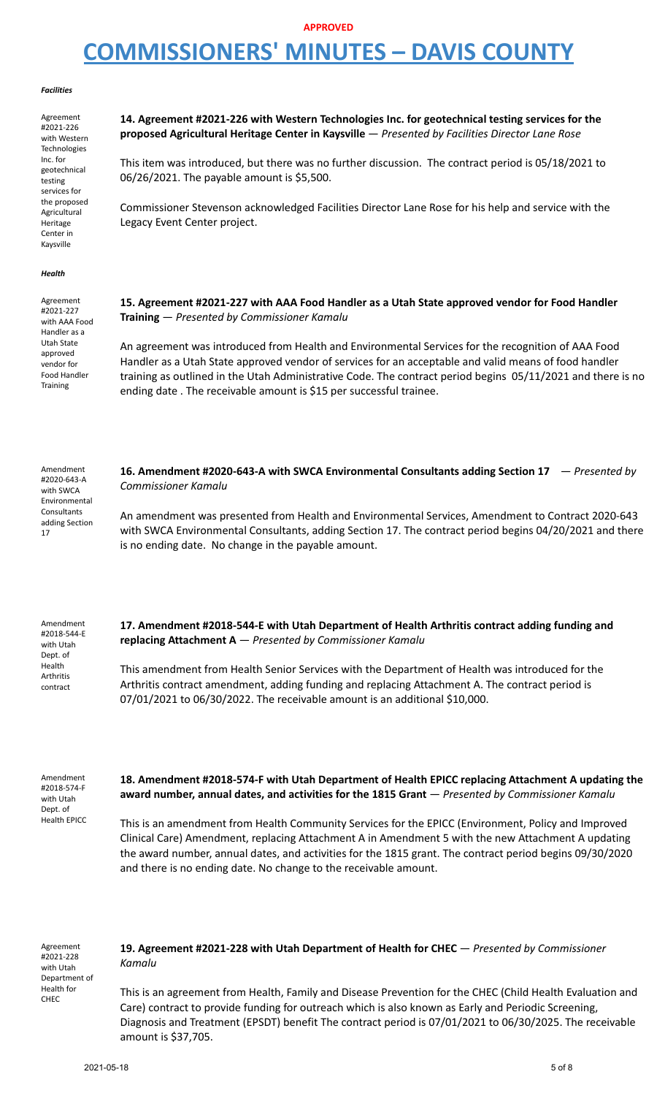#### *Facilities*

Agreement #2021-226 with Western Technologies Inc. for geotechnical testing services for the proposed Agricultural Heritage Center in Kaysville

**14. Agreement #2021-226 with Western Technologies Inc. for geotechnical testing services for the proposed Agricultural Heritage Center in Kaysville** — *Presented by Facilities Director Lane Rose*

This item was introduced, but there was no further discussion. The contract period is 05/18/2021 to 06/26/2021. The payable amount is \$5,500.

Commissioner Stevenson acknowledged Facilities Director Lane Rose for his help and service with the Legacy Event Center project.

#### *Health*

Agreement #2021-227 with AAA Food Handler as a Utah State approved vendor for Food Handler **Training** 

**15. Agreement #2021-227 with AAA Food Handler as a Utah State approved vendor for Food Handler Training** — *Presented by Commissioner Kamalu*

An agreement was introduced from Health and Environmental Services for the recognition of AAA Food Handler as a Utah State approved vendor of services for an acceptable and valid means of food handler training as outlined in the Utah Administrative Code. The contract period begins 05/11/2021 and there is no ending date . The receivable amount is \$15 per successful trainee.

Amendment #2020-643-A with SWCA Environmental **Consultants** adding Section 17 **16. Amendment #2020-643-A with SWCA Environmental Consultants adding Section 17** — *Presented by Commissioner Kamalu* An amendment was presented from Health and Environmental Services, Amendment to Contract 2020-643 with SWCA Environmental Consultants, adding Section 17. The contract period begins 04/20/2021 and there is no ending date. No change in the payable amount.

Amendment #2018-544-E with Utah Dept. of Health Arthritis contract

**17. Amendment #2018-544-E with Utah Department of Health Arthritis contract adding funding and replacing Attachment A** — *Presented by Commissioner Kamalu*

This amendment from Health Senior Services with the Department of Health was introduced for the Arthritis contract amendment, adding funding and replacing Attachment A. The contract period is 07/01/2021 to 06/30/2022. The receivable amount is an additional \$10,000.

Amendment #2018-574-F with Utah Dept. of Health EPICC **18. Amendment #2018-574-F with Utah Department of Health EPICC replacing Attachment A updating the award number, annual dates, and activities for the 1815 Grant** — *Presented by Commissioner Kamalu*

This is an amendment from Health Community Services for the EPICC (Environment, Policy and Improved Clinical Care) Amendment, replacing Attachment A in Amendment 5 with the new Attachment A updating the award number, annual dates, and activities for the 1815 grant. The contract period begins 09/30/2020 and there is no ending date. No change to the receivable amount.

Agreement #2021-228 with Utah Department of Health for CHEC

**19. Agreement #2021-228 with Utah Department of Health for CHEC** — *Presented by Commissioner Kamalu*

This is an agreement from Health, Family and Disease Prevention for the CHEC (Child Health Evaluation and Care) contract to provide funding for outreach which is also known as Early and Periodic Screening, Diagnosis and Treatment (EPSDT) benefit The contract period is 07/01/2021 to 06/30/2025. The receivable amount is \$37,705.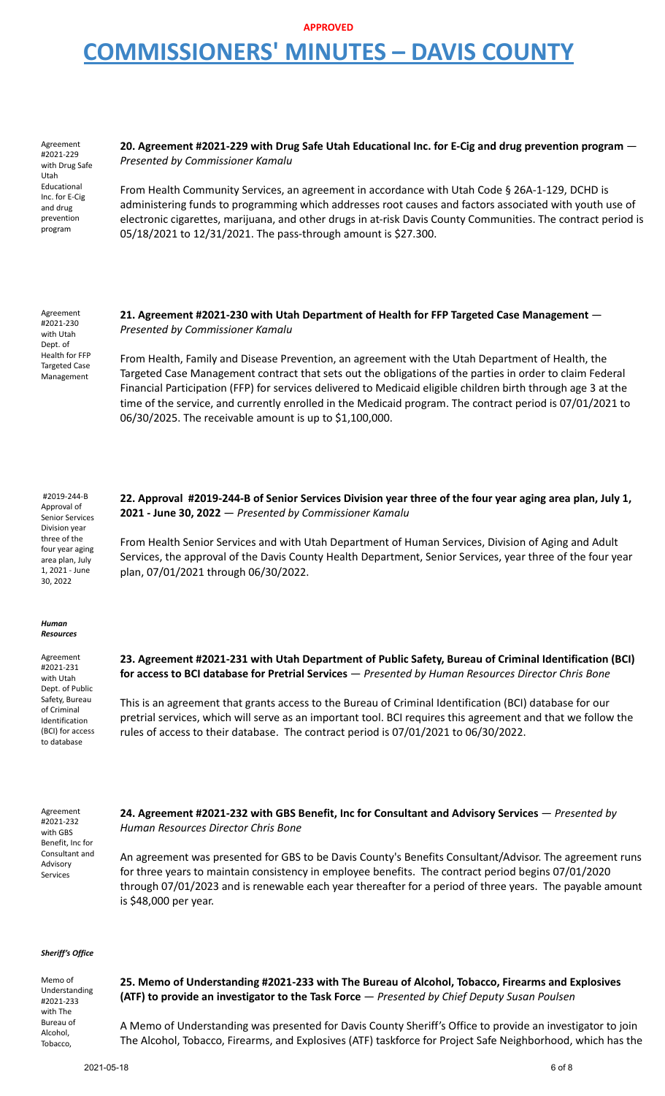Agreement #2021-229 with Drug Safe Utah Educational Inc. for E-Cig and drug prevention program

**20. Agreement #2021-229 with Drug Safe Utah Educational Inc. for E-Cig and drug prevention program** — *Presented by Commissioner Kamalu*

From Health Community Services, an agreement in accordance with Utah Code § 26A-1-129, DCHD is administering funds to programming which addresses root causes and factors associated with youth use of electronic cigarettes, marijuana, and other drugs in at-risk Davis County Communities. The contract period is 05/18/2021 to 12/31/2021. The pass-through amount is \$27.300.

Agreement #2021-230 with Utah Dept. of Health for FFP Targeted Case Management

**21. Agreement #2021-230 with Utah Department of Health for FFP Targeted Case Management** — *Presented by Commissioner Kamalu*

From Health, Family and Disease Prevention, an agreement with the Utah Department of Health, the Targeted Case Management contract that sets out the obligations of the parties in order to claim Federal Financial Participation (FFP) for services delivered to Medicaid eligible children birth through age 3 at the time of the service, and currently enrolled in the Medicaid program. The contract period is 07/01/2021 to 06/30/2025. The receivable amount is up to \$1,100,000.

#2019-244-B Approval of Senior Services Division year three of the four year aging area plan, July 1, 2021 - June 30, 2022

22. Approval #2019-244-B of Senior Services Division year three of the four year aging area plan, July 1, **2021 - June 30, 2022** — *Presented by Commissioner Kamalu*

From Health Senior Services and with Utah Department of Human Services, Division of Aging and Adult Services, the approval of the Davis County Health Department, Senior Services, year three of the four year plan, 07/01/2021 through 06/30/2022.

#### *Human Resources*

Agreement #2021-231 with Utah Dept. of Public Safety, Bureau of Criminal Identification (BCI) for access to database

**23. Agreement #2021-231 with Utah Department of Public Safety, Bureau of Criminal Identification (BCI) for access to BCI database for Pretrial Services** — *Presented by Human Resources Director Chris Bone*

This is an agreement that grants access to the Bureau of Criminal Identification (BCI) database for our pretrial services, which will serve as an important tool. BCI requires this agreement and that we follow the rules of access to their database. The contract period is 07/01/2021 to 06/30/2022.

Agreement #2021-232 with GBS Benefit, Inc for Consultant and Advisory Services

**24. Agreement #2021-232 with GBS Benefit, Inc for Consultant and Advisory Services** — *Presented by Human Resources Director Chris Bone*

An agreement was presented for GBS to be Davis County's Benefits Consultant/Advisor. The agreement runs for three years to maintain consistency in employee benefits. The contract period begins 07/01/2020 through 07/01/2023 and is renewable each year thereafter for a period of three years. The payable amount is \$48,000 per year.

### *Sheriff's Office*

Memo of Understanding #2021-233 with The Bureau of Alcohol, Tobacco, **25. Memo of Understanding #2021-233 with The Bureau of Alcohol, Tobacco, Firearms and Explosives (ATF) to provide an investigator to the Task Force** — *Presented by Chief Deputy Susan Poulsen* A Memo of Understanding was presented for Davis County Sheriff's Office to provide an investigator to join The Alcohol, Tobacco, Firearms, and Explosives (ATF) taskforce for Project Safe Neighborhood, which has the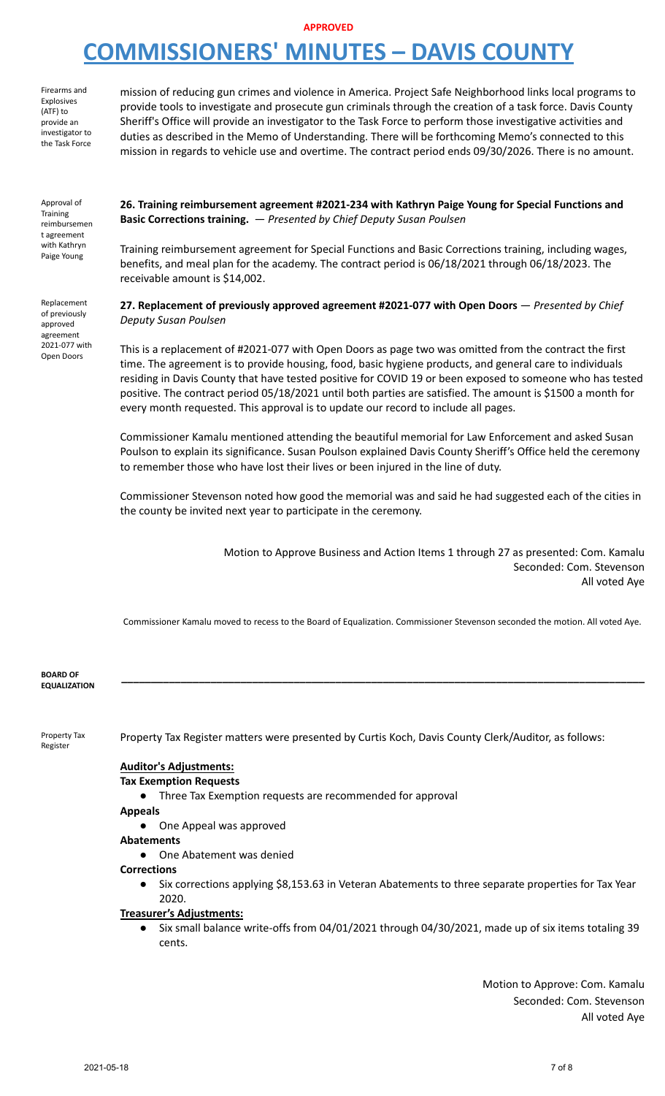### **APPROVED**

# **COMMISSIONERS' MINUTES – DAVIS COUNTY**

Firearms and Explosives (ATF) to provide an investigator to the Task Force mission of reducing gun crimes and violence in America. Project Safe Neighborhood links local programs to provide tools to investigate and prosecute gun criminals through the creation of a task force. Davis County Sheriff's Office will provide an investigator to the Task Force to perform those investigative activities and duties as described in the Memo of Understanding. There will be forthcoming Memo's connected to this mission in regards to vehicle use and overtime. The contract period ends 09/30/2026. There is no amount.

Approval of **Training** reimbursemen t agreement with Kathryn Paige Young

Replacement of previously approved agreement 2021-077 with Open Doors

**26. Training reimbursement agreement #2021-234 with Kathryn Paige Young for Special Functions and Basic Corrections training.** — *Presented by Chief Deputy Susan Poulsen*

Training reimbursement agreement for Special Functions and Basic Corrections training, including wages, benefits, and meal plan for the academy. The contract period is 06/18/2021 through 06/18/2023. The receivable amount is \$14,002.

**27. Replacement of previously approved agreement #2021-077 with Open Doors** — *Presented by Chief Deputy Susan Poulsen*

This is a replacement of #2021-077 with Open Doors as page two was omitted from the contract the first time. The agreement is to provide housing, food, basic hygiene products, and general care to individuals residing in Davis County that have tested positive for COVID 19 or been exposed to someone who has tested positive. The contract period 05/18/2021 until both parties are satisfied. The amount is \$1500 a month for every month requested. This approval is to update our record to include all pages.

Commissioner Kamalu mentioned attending the beautiful memorial for Law Enforcement and asked Susan Poulson to explain its significance. Susan Poulson explained Davis County Sheriff's Office held the ceremony to remember those who have lost their lives or been injured in the line of duty.

Commissioner Stevenson noted how good the memorial was and said he had suggested each of the cities in the county be invited next year to participate in the ceremony.

> Motion to Approve Business and Action Items 1 through 27 as presented: Com. Kamalu Seconded: Com. Stevenson All voted Aye

Commissioner Kamalu moved to recess to the Board of Equalization. Commissioner Stevenson seconded the motion. All voted Aye.

**\_\_\_\_\_\_\_\_\_\_\_\_\_\_\_\_\_\_\_\_\_\_\_\_\_\_\_\_\_\_\_\_\_\_\_\_\_\_\_\_\_\_\_\_\_\_\_\_\_\_\_\_\_\_\_\_\_\_\_\_\_\_\_\_\_\_\_\_\_\_\_\_\_\_\_\_\_\_\_\_\_\_\_\_\_\_\_\_**

**BOARD OF EQUALIZATION**

Property Tax Register

Property Tax Register matters were presented by Curtis Koch, Davis County Clerk/Auditor, as follows:

### **Auditor's Adjustments:**

### **Tax Exemption Requests**

Three Tax Exemption requests are recommended for approval

**Appeals**

● One Appeal was approved

**Abatements**

● One Abatement was denied

### **Corrections**

● Six corrections applying \$8,153.63 in Veteran Abatements to three separate properties for Tax Year 2020.

### **Treasurer's Adjustments:**

● Six small balance write-offs from 04/01/2021 through 04/30/2021, made up of six items totaling 39 cents.

> Motion to Approve: Com. Kamalu Seconded: Com. Stevenson All voted Aye